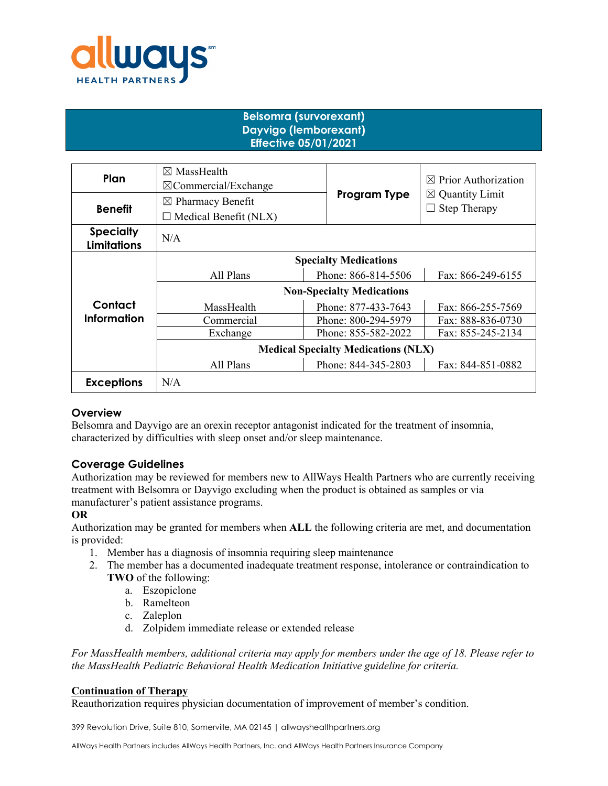

# **Belsomra (survorexant) Dayvigo (lemborexant) Effective 05/01/2021**

| Plan                                   | $\boxtimes$ MassHealth<br>$\boxtimes$ Commercial/Exchange |                                          |                     | $\boxtimes$ Prior Authorization                   |  |
|----------------------------------------|-----------------------------------------------------------|------------------------------------------|---------------------|---------------------------------------------------|--|
| <b>Benefit</b>                         | $\boxtimes$ Pharmacy Benefit                              |                                          | Program Type        | $\boxtimes$ Quantity Limit<br><b>Step Therapy</b> |  |
|                                        | $\Box$ Medical Benefit (NLX)                              |                                          |                     |                                                   |  |
| <b>Specialty</b><br><b>Limitations</b> | N/A                                                       |                                          |                     |                                                   |  |
|                                        | <b>Specialty Medications</b>                              |                                          |                     |                                                   |  |
| Contact<br>Information                 | All Plans                                                 | Phone: 866-814-5506<br>Fax: 866-249-6155 |                     |                                                   |  |
|                                        | <b>Non-Specialty Medications</b>                          |                                          |                     |                                                   |  |
|                                        | MassHealth                                                |                                          | Phone: 877-433-7643 | Fax: 866-255-7569                                 |  |
|                                        | Commercial                                                | Phone: 800-294-5979<br>Fax: 888-836-0730 |                     |                                                   |  |
|                                        | Exchange                                                  |                                          | Phone: 855-582-2022 | Fax: 855-245-2134                                 |  |
|                                        | <b>Medical Specialty Medications (NLX)</b>                |                                          |                     |                                                   |  |
|                                        | All Plans                                                 |                                          | Phone: 844-345-2803 | Fax: 844-851-0882                                 |  |
| <b>Exceptions</b>                      | N/A                                                       |                                          |                     |                                                   |  |

#### **Overview**

Belsomra and Dayvigo are an orexin receptor antagonist indicated for the treatment of insomnia, characterized by difficulties with sleep onset and/or sleep maintenance.

# **Coverage Guidelines**

Authorization may be reviewed for members new to AllWays Health Partners who are currently receiving treatment with Belsomra or Dayvigo excluding when the product is obtained as samples or via manufacturer's patient assistance programs.

#### **OR**

Authorization may be granted for members when **ALL** the following criteria are met, and documentation is provided:

- 1. Member has a diagnosis of insomnia requiring sleep maintenance
- 2. The member has a documented inadequate treatment response, intolerance or contraindication to **TWO** of the following:
	- a. Eszopiclone
	- b. Ramelteon
	- c. Zaleplon
	- d. Zolpidem immediate release or extended release

*For MassHealth members, additional criteria may apply for members under the age of 18. Please refer to the MassHealth Pediatric Behavioral Health Medication Initiative guideline for criteria.*

#### **Continuation of Therapy**

Reauthorization requires physician documentation of improvement of member's condition.

399 Revolution Drive, Suite 810, Somerville, MA 02145 | allwayshealthpartners.org